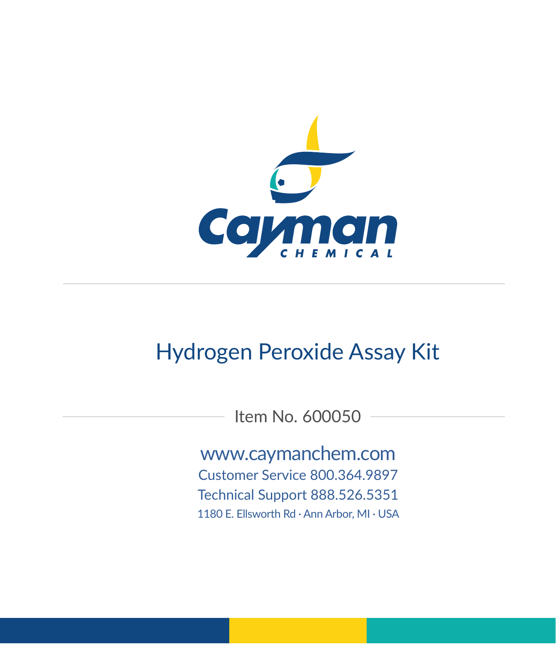

# Hydrogen Peroxide Assay Kit

Item No. 600050

www.caymanchem.com

Customer Service 800.364.9897 Technical Support 888.526.5351

1180 E. Ellsworth Rd · Ann Arbor, MI · USA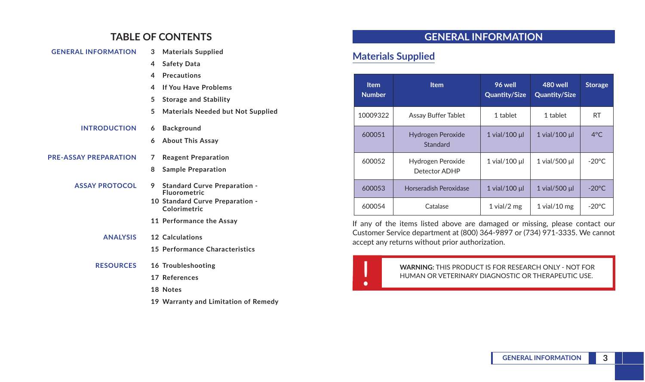### **TABLE OF CONTENTS**

| <b>GENERAL INFORMATION</b>   | 3 | <b>Materials Supplied</b>                                  | <b>Materials</b>    |  |
|------------------------------|---|------------------------------------------------------------|---------------------|--|
|                              | 4 | <b>Safety Data</b>                                         |                     |  |
|                              | 4 | <b>Precautions</b>                                         |                     |  |
|                              | 4 | If You Have Problems                                       | <b>Item</b>         |  |
|                              | 5 | <b>Storage and Stability</b>                               | <b>Number</b>       |  |
|                              | 5 | <b>Materials Needed but Not Supplied</b>                   | 10009322            |  |
| <b>INTRODUCTION</b>          | 6 | Background                                                 |                     |  |
|                              | 6 | <b>About This Assay</b>                                    | 600051              |  |
| <b>PRE-ASSAY PREPARATION</b> | 7 | <b>Reagent Preparation</b>                                 | 600052              |  |
|                              | 8 | <b>Sample Preparation</b>                                  |                     |  |
| <b>ASSAY PROTOCOL</b>        | 9 | <b>Standard Curve Preparation -</b><br><b>Fluorometric</b> | 600053              |  |
|                              |   | 10 Standard Curve Preparation -<br>Colorimetric            | 600054              |  |
|                              |   | 11 Performance the Assay                                   | If any of the       |  |
| <b>ANALYSIS</b>              |   | 12 Calculations                                            | <b>Customer Ser</b> |  |
|                              |   | 15 Performance Characteristics                             | accept any re       |  |
| <b>RESOURCES</b>             |   | 16 Troubleshooting                                         |                     |  |
|                              |   | 17 References                                              |                     |  |
|                              |   | 18 Notes                                                   |                     |  |
|                              |   | 19 Warranty and Limitation of Remedy                       |                     |  |

### **GENERAL INFORMATION**

### **Supplied**

| <b>Item</b><br><b>Number</b> | <b>Item</b>                        | 96 well<br><b>Quantity/Size</b> | 480 well<br><b>Quantity/Size</b> | <b>Storage</b>  |
|------------------------------|------------------------------------|---------------------------------|----------------------------------|-----------------|
| 10009322                     | Assay Buffer Tablet                | 1 tablet                        | 1 tablet                         | <b>RT</b>       |
| 600051                       | Hydrogen Peroxide<br>Standard      | 1 vial/100 µl                   | 1 vial/100 µl                    | $4^{\circ}$ C   |
| 600052                       | Hydrogen Peroxide<br>Detector ADHP | 1 vial/100 µl                   | 1 vial/500 µl                    | $-20^{\circ}$ C |
| 600053                       | <b>Horseradish Peroxidase</b>      | 1 vial/100 µl                   | 1 vial/500 µl                    | $-20^{\circ}$ C |
| 600054                       | Catalase                           | $1$ vial/ $2$ mg                | $1$ vial/ $10$ mg                | $-20^{\circ}$ C |

items listed above are damaged or missing, please contact our rvice department at (800) 364-9897 or (734) 971-3335. We cannot eturns without prior authorization.

> ! **WARNING:** THIS PRODUCT IS FOR RESEARCH ONLY - NOT FOR HUMAN OR VETERINARY DIAGNOSTIC OR THERAPEUTIC USE.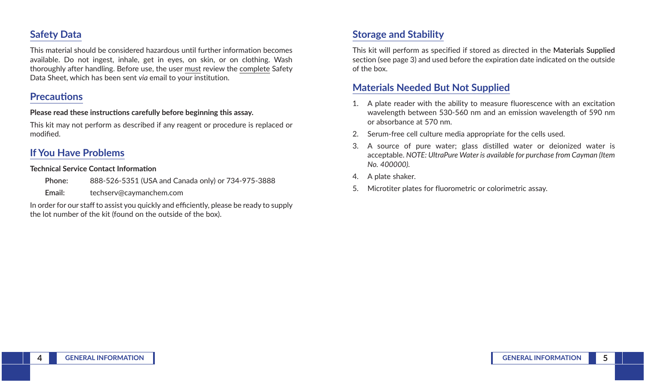## **Safety Data**

This material should be considered hazardous until further information becomes available. Do not ingest, inhale, get in eyes, on skin, or on clothing. Wash thoroughly after handling. Before use, the user must review the complete Safety Data Sheet, which has been sent *via* email to your institution.

### **Precautions**

#### **Please read these instructions carefully before beginning this assay.**

This kit may not perform as described if any reagent or procedure is replaced or modified.

## **If You Have Problems**

#### **Technical Service Contact Information**

**Phone:** 888-526-5351 (USA and Canada only) or 734-975-3888

**Email:** techserv@caymanchem.com

In order for our staff to assist you quickly and efficiently, please be ready to supply the lot number of the kit (found on the outside of the box).

## **Storage and Stability**

This kit will perform as specified if stored as directed in the **Materials Supplied** section (see page 3) and used before the expiration date indicated on the outside of the box.

### **Materials Needed But Not Supplied**

- 1. A plate reader with the ability to measure fluorescence with an excitation wavelength between 530-560 nm and an emission wavelength of 590 nm or absorbance at 570 nm.
- 2. Serum-free cell culture media appropriate for the cells used.
- 3. A source of pure water; glass distilled water or deionized water is acceptable. *NOTE: UltraPure Water is available for purchase from Cayman (Item No. 400000).*
- 4. A plate shaker.
- 5. Microtiter plates for fluorometric or colorimetric assay.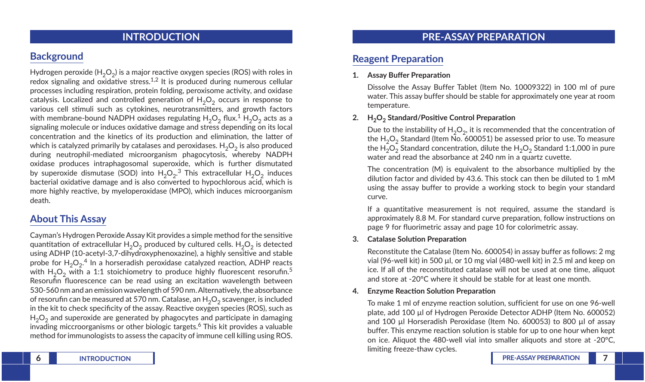### **INTRODUCTION**

## **Background**

Hydrogen peroxide (H<sub>2</sub>O<sub>2</sub>) is a major reactive oxygen species (ROS) with roles in redox signaling and oxidative stress.<sup>1,2</sup> It is produced during numerous cellular processes including respiration, protein folding, peroxisome activity, and oxidase catalysis. Localized and controlled generation of  $H_2O_2$  occurs in response to various cell stimuli such as cytokines, neurotransmitters, and growth factors with membrane-bound NADPH oxidases regulating  $H_2O_2$  flux.<sup>1</sup> H<sub>2</sub>O<sub>2</sub> acts as a signaling molecule or induces oxidative damage and stress depending on its local concentration and the kinetics of its production and elimination, the latter of which is catalyzed primarily by catalases and peroxidases.  $H_2O_2$  is also produced during neutrophil-mediated microorganism phagocytosis, whereby NADPH oxidase produces intraphagosomal superoxide, which is further dismutated by superoxide dismutase (SOD) into  $H_2O_2.^3$  This extracellular  $H_2O_2$  induces bacterial oxidative damage and is also converted to hypochlorous acid, which is more highly reactive, by myeloperoxidase (MPO), which induces microorganism death.

## **About This Assay**

Cayman's Hydrogen Peroxide Assay Kit provides a simple method for the sensitive quantitation of extracellular  $H_2O_2$  produced by cultured cells.  $H_2O_2$  is detected using ADHP (10-acetyl-3,7-dihydroxyphenoxazine), a highly sensitive and stable probe for  $H_2O_2$ .<sup>4</sup> In a horseradish peroxidase catalyzed reaction, ADHP reacts with  $H_2O_2$  with a 1:1 stoichiometry to produce highly fluorescent resorufin.<sup>5</sup> Resorufin fluorescence can be read using an excitation wavelength between 530-560 nm and an emission wavelength of 590 nm. Alternatively, the absorbance of resorufin can be measured at 570 nm. Catalase, an  $H_2O_2$  scavenger, is included in the kit to check specificity of the assay. Reactive oxygen species (ROS), such as  $H<sub>2</sub>O<sub>2</sub>$  and superoxide are generated by phagocytes and participate in damaging invading miccroorganisms or other biologic targets.<sup>6</sup> This kit provides a valuable method for immunologists to assess the capacity of immune cell killing using ROS.

### **PRE-ASSAY PREPARATION**

## **Reagent Preparation**

#### **1. Assay Buffer Preparation**

Dissolve the Assay Buffer Tablet (Item No. 10009322) in 100 ml of pure water. This assay buffer should be stable for approximately one year at room temperature.

#### 2. **H<sub>2</sub>O<sub>2</sub>** Standard/Positive Control Preparation

Due to the instability of  $H_2O_2$ , it is recommended that the concentration of the  $H_2O_2$  Standard (Item No. 600051) be assessed prior to use. To measure the  $H_2O_2$  Standard concentration, dilute the  $H_2O_2$  Standard 1:1,000 in pure water and read the absorbance at 240 nm in a quartz cuvette.

The concentration (M) is equivalent to the absorbance multiplied by the dilution factor and divided by 43.6. This stock can then be diluted to 1 mM using the assay buffer to provide a working stock to begin your standard curve.

If a quantitative measurement is not required, assume the standard is approximately 8.8 M. For standard curve preparation, follow instructions on page 9 for fluorimetric assay and page 10 for colorimetric assay.

#### **3. Catalase Solution Preparation**

Reconstitute the Catalase (Item No. 600054) in assay buffer as follows: 2 mg vial (96-well kit) in 500 µl, or 10 mg vial (480-well kit) in 2.5 ml and keep on ice. If all of the reconstituted catalase will not be used at one time, aliquot and store at -20°C where it should be stable for at least one month.

#### **4. Enzyme Reaction Solution Preparation**

To make 1 ml of enzyme reaction solution, sufficient for use on one 96-well plate, add 100 µl of Hydrogen Peroxide Detector ADHP (Item No. 600052) and 100 µl Horseradish Peroxidase (Item No. 600053) to 800 µl of assay buffer. This enzyme reaction solution is stable for up to one hour when kept on ice. Aliquot the 480-well vial into smaller aliquots and store at -20°C, limiting freeze-thaw cycles.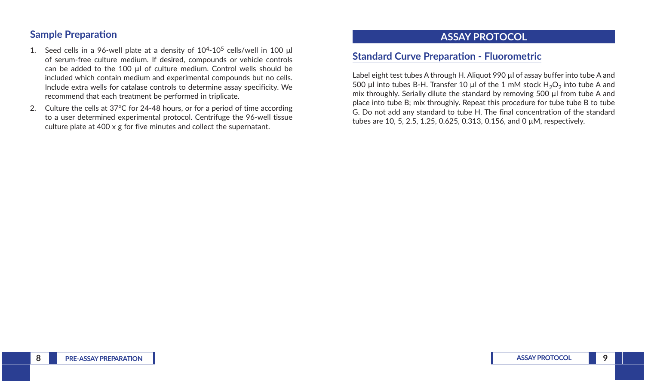### **Sample Preparation**

- 1. Seed cells in a 96-well plate at a density of  $10^{4}$ - $10^{5}$  cells/well in 100  $\mu$ l of serum-free culture medium. If desired, compounds or vehicle controls can be added to the 100 µl of culture medium. Control wells should be included which contain medium and experimental compounds but no cells. Include extra wells for catalase controls to determine assay specificity. We recommend that each treatment be performed in triplicate.
- 2. Culture the cells at 37°C for 24-48 hours, or for a period of time according to a user determined experimental protocol. Centrifuge the 96-well tissue culture plate at 400 x g for five minutes and collect the supernatant.

### **ASSAY PROTOCOL**

## **Standard Curve Preparation - Fluorometric**

Label eight test tubes A through H. Aliquot 990 µl of assay buffer into tube A and 500 µl into tubes B-H. Transfer 10 µl of the 1 mM stock  $H_2O_2$  into tube A and mix throughly. Serially dilute the standard by removing 500 ul from tube A and place into tube B; mix throughly. Repeat this procedure for tube tube B to tube G. Do not add any standard to tube H. The final concentration of the standard tubes are 10, 5, 2.5, 1.25, 0.625, 0.313, 0.156, and 0 µM, respectively.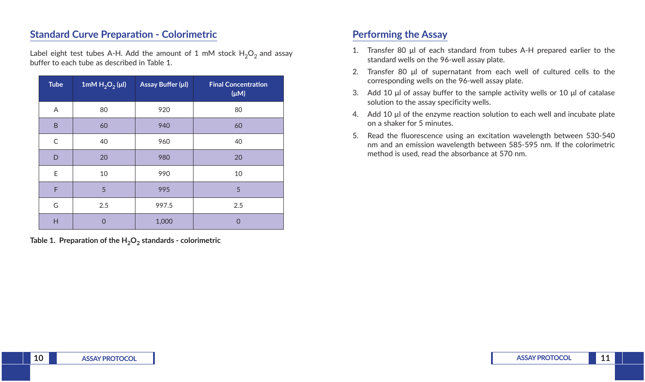## **Standard Curve Preparation - Colorimetric**

Label eight test tubes A-H. Add the amount of 1 mM stock  $H_2O_2$  and assay buffer to each tube as described in Table 1.

| <b>Tube</b> | 1mM $H_2O_2(\mu I)$ | Assay Buffer (µl) | <b>Final Concentration</b><br>$(\mu M)$ |
|-------------|---------------------|-------------------|-----------------------------------------|
| Α           | 80                  | 920               | 80                                      |
| B           | 60                  | 940               | 60                                      |
| $\mathsf C$ | 40                  | 960               | 40                                      |
| D           | 20                  | 980               | 20                                      |
| E           | 10                  | 990               | 10                                      |
| F           | 5                   | 995               | 5                                       |
| G           | 2.5                 | 997.5             | 2.5                                     |
| H           | 0                   | 1,000             | $\overline{0}$                          |

Table 1. Preparation of the H<sub>2</sub>O<sub>2</sub> standards - colorimetric

## **Performing the Assay**

- 1. Transfer 80 μl of each standard from tubes A-H prepared earlier to the standard wells on the 96-well assay plate.
- 2. Transfer 80 μl of supernatant from each well of cultured cells to the corresponding wells on the 96-well assay plate.
- 3. Add 10 μl of assay buffer to the sample activity wells or 10 μl of catalase solution to the assay specificity wells.
- 4. Add 10 µl of the enzyme reaction solution to each well and incubate plate on a shaker for 5 minutes.
- 5. Read the fluorescence using an excitation wavelength between 530-540 nm and an emission wavelength between 585-595 nm. If the colorimetric method is used, read the absorbance at 570 nm.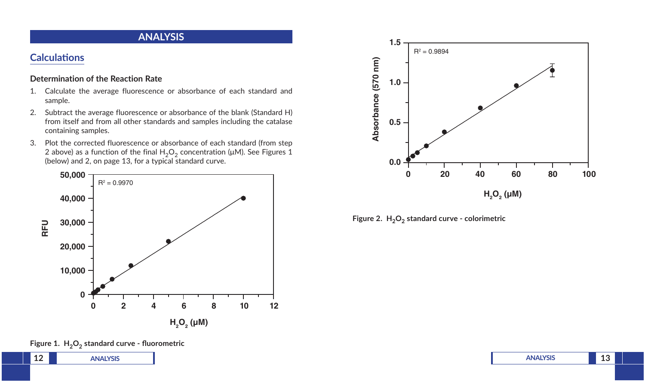### **ANALYSIS**

## **Calculations**

### **Determination of the Reaction Rate**

- 1. Calculate the average fluorescence or absorbance of each standard and sample.
- 2. Subtract the average fluorescence or absorbance of the blank (Standard H) from itself and from all other standards and samples including the catalase containing samples.
- 3. Plot the corrected fluorescence or absorbance of each standard (from step 2 above) as a function of the final  $H_2O_2$  concentration (μM). See Figures 1 (below) and 2, on page 13, for a typical standard curve.







### Figure 1. H<sub>2</sub>O<sub>2</sub> standard curve - fluorometric

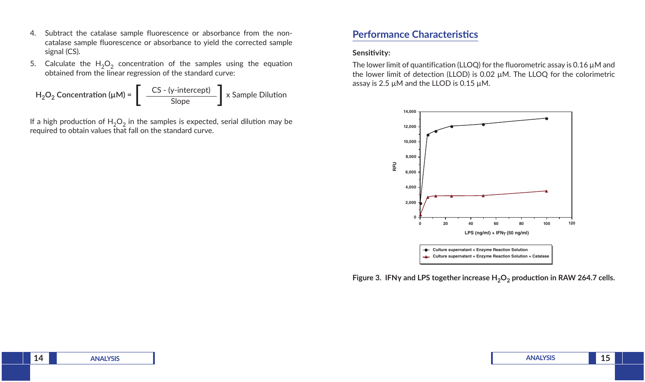- 4. Subtract the catalase sample fluorescence or absorbance from the noncatalase sample fluorescence or absorbance to yield the corrected sample signal (CS).
- 5. Calculate the  $H_2O_2$  concentration of the samples using the equation obtained from the linear regression of the standard curve:

 CS - (y-intercept)  $H_2O_2$  Concentration ( $\mu$ M) =  $\left[\begin{array}{c} CS - (y\text{-intercept}) \ \text{Slope} \end{array}\right]$  x Sample Dilution

If a high production of  $H_2O_2$  in the samples is expected, serial dilution may be required to obtain values that fall on the standard curve.

### **Performance Characteristics**

#### **Sensitivity:**

The lower limit of quantification (LLOQ) for the fluorometric assay is 0.16 µM and the lower limit of detection (LLOD) is 0.02 µM. The LLOQ for the colorimetric assay is 2.5 µM and the LLOD is 0.15 µM.



**Figure 3. IFNγ and LPS together increase H2O2 production in RAW 264.7 cells.**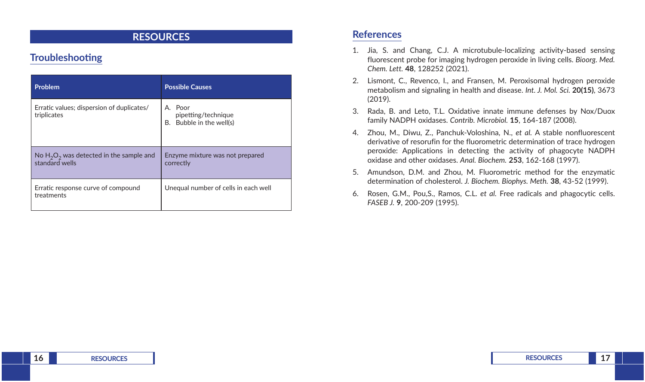### **RESOURCES**

## **Troubleshooting**

| <b>Problem</b>                                               | <b>Possible Causes</b>                                     |  |
|--------------------------------------------------------------|------------------------------------------------------------|--|
| Erratic values; dispersion of duplicates/<br>triplicates     | A. Poor<br>pipetting/technique<br>B. Bubble in the well(s) |  |
| No $H_2O_2$ was detected in the sample and<br>standard wells | Enzyme mixture was not prepared<br>correctly               |  |
| Erratic response curve of compound<br>treatments             | Unequal number of cells in each well                       |  |

### **References**

- 1. Jia, S. and Chang, C.J. A microtubule-localizing activity-based sensing fluorescent probe for imaging hydrogen peroxide in living cells. *Bioorg. Med. Chem. Lett.* **48**, 128252 (2021).
- 2. Lismont, C., Revenco, I., and Fransen, M. Peroxisomal hydrogen peroxide metabolism and signaling in health and disease. *Int. J. Mol. Sci.* **20(15)**, 3673 (2019).
- 3. Rada, B. and Leto, T.L. Oxidative innate immune defenses by Nox/Duox family NADPH oxidases. *Contrib. Microbiol.* **15**, 164-187 (2008).
- 4. Zhou, M., Diwu, Z., Panchuk-Voloshina, N., *et al.* A stable nonfluorescent derivative of resorufin for the fluorometric determination of trace hydrogen peroxide: Applications in detecting the activity of phagocyte NADPH oxidase and other oxidases. *Anal. Biochem.* **253**, 162-168 (1997).
- 5. Amundson, D.M. and Zhou, M. Fluorometric method for the enzymatic determination of cholesterol. *J. Biochem. Biophys. Meth.* **38**, 43-52 (1999).
- 6. Rosen, G.M., Pou,S., Ramos, C.L. *et al.* Free radicals and phagocytic cells. *FASEB J.* **9**, 200-209 (1995).